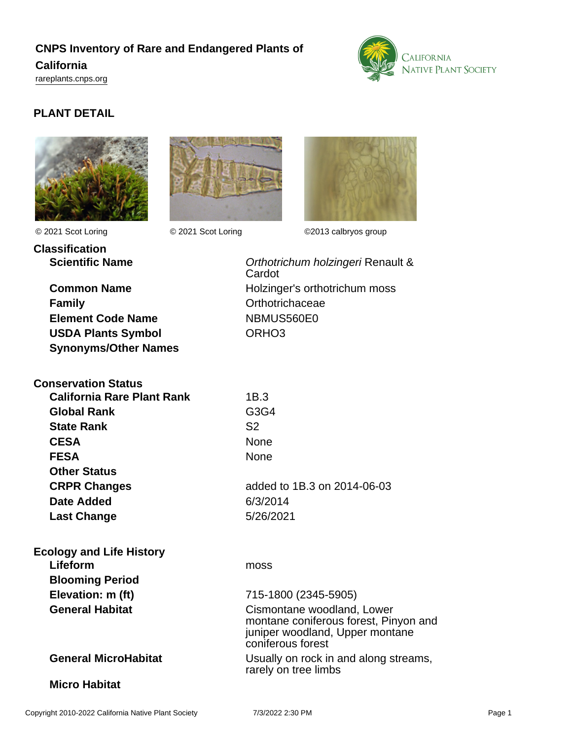# **CNPS Inventory of Rare and Endangered Plants of California**

<rareplants.cnps.org>



## **PLANT DETAIL**





**Classification**



© 2021 Scot Loring © 2021 Scot Loring ©2013 calbryos group

**Family Contract Contract Contract Contract Contract Contract Contract Contract Contract Contract Contract Contract Contract Contract Contract Contract Contract Contract Contract Contract Contract Contract Contract Contr Element Code Name** NBMUS560E0 **USDA Plants Symbol** ORHO3 **Synonyms/Other Names**

| <b>Conservation Status</b> |                |
|----------------------------|----------------|
| California Rare Plant Rank | 1B.3           |
| <b>Global Rank</b>         | G3G4           |
| <b>State Rank</b>          | S <sub>2</sub> |
| <b>CESA</b>                | None           |
| <b>FESA</b>                | None           |
| <b>Other Status</b>        |                |
| <b>CRPR Changes</b>        | added to 1     |
| <b>Date Added</b>          | 6/3/2014       |
| <b>Last Change</b>         | 5/26/2021      |

**Scientific Name Contract Contract Contract Contract Contract Contract Contract Contract Contract Contract Contract Contract Contract Contract Contract Contract Contract Contract Contract Contract Contract Contract Contr Cardot Common Name Holzinger's orthotrichum moss** 

| <b>State Rank</b>      | S <sub>2</sub>                                                                                         |
|------------------------|--------------------------------------------------------------------------------------------------------|
| <b>CESA</b>            | <b>None</b>                                                                                            |
| <b>FESA</b>            | None                                                                                                   |
| <b>Other Status</b>    |                                                                                                        |
| <b>CRPR Changes</b>    | added to 1B.3 on 2014-06-03                                                                            |
| <b>Date Added</b>      | 6/3/2014                                                                                               |
| <b>Last Change</b>     | 5/26/2021                                                                                              |
| plogy and Life History |                                                                                                        |
| Lifeform               | moss                                                                                                   |
| <b>Blooming Period</b> |                                                                                                        |
| Elevation: m (ft)      | 715-1800 (2345-5905)                                                                                   |
| <b>General Habitat</b> | Cismontane woodland, Lower<br>montane coniferous forest, Pinyon and<br>juniper woodland, Upper montane |

**General MicroHabitat** Usually on rock in and along streams,

**Ecology and Life History**

#### **Micro Habitat**

coniferous forest

rarely on tree limbs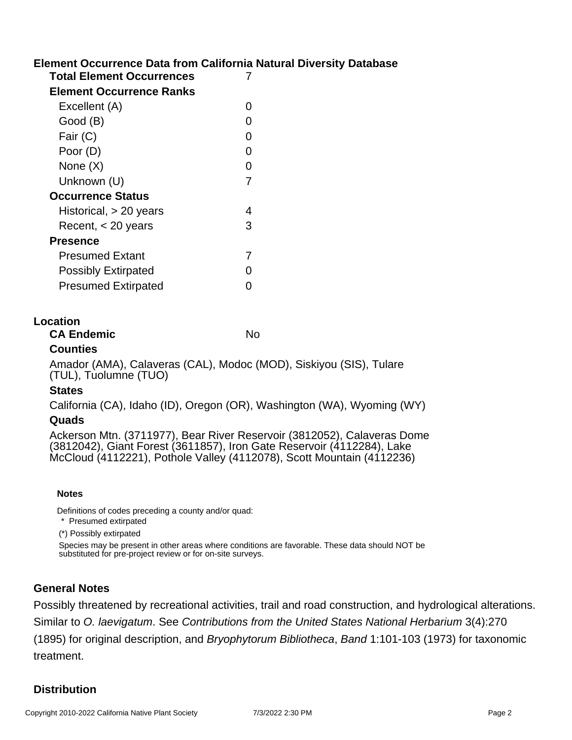## **Element Occurrence Data from California Natural Diversity Database**

| <b>Total Element Occurrences</b> | 7 |
|----------------------------------|---|
| <b>Element Occurrence Ranks</b>  |   |
| Excellent (A)                    | 0 |
| Good (B)                         | 0 |
| Fair (C)                         | 0 |
| Poor (D)                         | 0 |
| None $(X)$                       | 0 |
| Unknown (U)                      | 7 |
| <b>Occurrence Status</b>         |   |
| Historical, $> 20$ years         | 4 |
| Recent, $<$ 20 years             | 3 |
| <b>Presence</b>                  |   |
| <b>Presumed Extant</b>           | 7 |
| <b>Possibly Extirpated</b>       | 0 |
| <b>Presumed Extirpated</b>       | ი |
|                                  |   |

#### **Location**

**CA Endemic** No

### **Counties**

Amador (AMA), Calaveras (CAL), Modoc (MOD), Siskiyou (SIS), Tulare (TUL), Tuolumne (TUO)

#### **States**

California (CA), Idaho (ID), Oregon (OR), Washington (WA), Wyoming (WY)

#### **Quads**

Ackerson Mtn. (3711977), Bear River Reservoir (3812052), Calaveras Dome (3812042), Giant Forest (3611857), Iron Gate Reservoir (4112284), Lake McCloud (4112221), Pothole Valley (4112078), Scott Mountain (4112236)

#### **Notes**

Definitions of codes preceding a county and/or quad:

\* Presumed extirpated

(\*) Possibly extirpated

Species may be present in other areas where conditions are favorable. These data should NOT be substituted for pre-project review or for on-site surveys.

#### **General Notes**

Possibly threatened by recreational activities, trail and road construction, and hydrological alterations. Similar to O. laevigatum. See Contributions from the United States National Herbarium 3(4):270 (1895) for original description, and Bryophytorum Bibliotheca, Band 1:101-103 (1973) for taxonomic treatment.

## **Distribution**